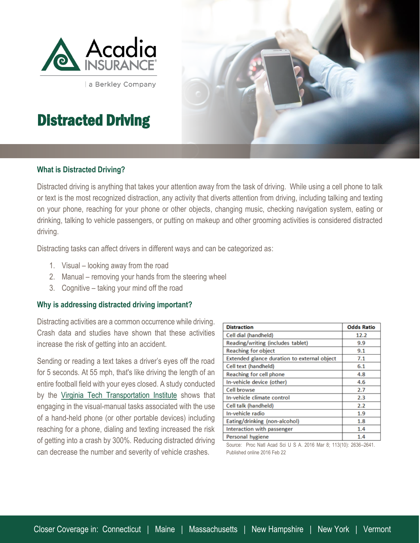

a Berkley Company

# Distracted Driving

## **What is Distracted Driving?**

Distracted driving is anything that takes your attention away from the task of driving. While using a cell phone to talk or text is the most recognized distraction, any activity that diverts attention from driving, including talking and texting on your phone, reaching for your phone or other objects, changing music, checking navigation system, eating or drinking, talking to vehicle passengers, or putting on makeup and other grooming activities is considered distracted driving.

Distracting tasks can affect drivers in different ways and can be categorized as:

- 1. Visual looking away from the road
- 2. Manual removing your hands from the steering wheel
- 3. Cognitive taking your mind off the road

#### **Why is addressing distracted driving important?**

Distracting activities are a common occurrence while driving. Crash data and studies have shown that these activities increase the risk of getting into an accident.

Sending or reading a text takes a driver's eyes off the road for 5 seconds. At 55 mph, that's like driving the length of an entire football field with your eyes closed. A study conducted by the [Virginia Tech Transportation Institute](https://www.vtti.vt.edu/) shows that engaging in the visual-manual tasks associated with the use of a hand-held phone (or other portable devices) including reaching for a phone, dialing and texting increased the risk of getting into a crash by 300%. Reducing distracted driving can decrease the number and severity of vehicle crashes.

| <b>Distraction</b>                          | <b>Odds Ratio</b> |
|---------------------------------------------|-------------------|
| Cell dial (handheld)                        | 12.2              |
| Reading/writing (includes tablet)           | 9.9               |
| Reaching for object                         | 9.1               |
| Extended glance duration to external object | 7.1               |
| Cell text (handheld)                        | 6.1               |
| Reaching for cell phone                     | 4.8               |
| In-vehicle device (other)                   | 4.6               |
| Cell browse                                 | 2.7               |
| In-vehicle climate control                  | 2.3               |
| Cell talk (handheld)                        | 2.2               |
| In-vehicle radio                            | 1.9               |
| Eating/drinking (non-alcohol)               | 1.8               |
| Interaction with passenger                  | 1.4               |
| Personal hygiene                            | 1.4               |

Source: Proc Natl Acad Sci U S A. 2016 Mar 8; 113(10): 2636–2641. Published online 2016 Feb 22